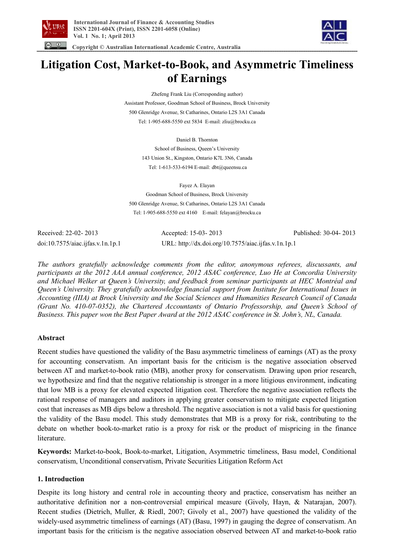



 **Copyright © Australian International Academic Centre, Australia** 

# **Litigation Cost, Market-to-Book, and Asymmetric Timeliness of Earnings**

Zhefeng Frank Liu (Corresponding author)

Assistant Professor, Goodman School of Business, Brock University 500 Glenridge Avenue, St Catharines, Ontario L2S 3A1 Canada Tel: 1-905-688-5550 ext 5834 E-mail: zliu@brocku.ca

Daniel B. Thornton

School of Business, Queen's University 143 Union St., Kingston, Ontario K7L 3N6, Canada Tel: 1-613-533-6194 E-mail: dbt@queensu.ca

Fayez A. Elayan Goodman School of Business, Brock University 500 Glenridge Avenue, St Catharines, Ontario L2S 3A1 Canada Tel: 1-905-688-5550 ext 4160 E-mail: felayan@brocku.ca

Received: 22-02- 2013 Accepted: 15-03- 2013 Published: 30-04- 2013 doi:10.7575/aiac.ijfas.v.1n.1p.1 URL: http://dx.doi.org/10.7575/aiac.ijfas.v.1n.1p.1

*The authors gratefully acknowledge comments from the editor, anonymous referees, discussants, and participants at the 2012 AAA annual conference, 2012 ASAC conference, Luo He at Concordia University and Michael Welker at Queen's University, and feedback from seminar participants at HEC Montréal and Queen's University. They gratefully acknowledge financial support from Institute for International Issues in Accounting (IIIA) at Brock University and the Social Sciences and Humanities Research Council of Canada (Grant No. 410-07-0352), the Chartered Accountants of Ontario Professorship, and Queen's School of Business. This paper won the Best Paper Award at the 2012 ASAC conference in St. John's, NL, Canada.* 

# **Abstract**

Recent studies have questioned the validity of the Basu asymmetric timeliness of earnings (AT) as the proxy for accounting conservatism. An important basis for the criticism is the negative association observed between AT and market-to-book ratio (MB), another proxy for conservatism. Drawing upon prior research, we hypothesize and find that the negative relationship is stronger in a more litigious environment, indicating that low MB is a proxy for elevated expected litigation cost. Therefore the negative association reflects the rational response of managers and auditors in applying greater conservatism to mitigate expected litigation cost that increases as MB dips below a threshold. The negative association is not a valid basis for questioning the validity of the Basu model. This study demonstrates that MB is a proxy for risk, contributing to the debate on whether book-to-market ratio is a proxy for risk or the product of mispricing in the finance literature.

**Keywords:** Market-to-book, Book-to-market, Litigation, Asymmetric timeliness, Basu model, Conditional conservatism, Unconditional conservatism, Private Securities Litigation Reform Act

# **1. Introduction**

Despite its long history and central role in accounting theory and practice, conservatism has neither an authoritative definition nor a non-controversial empirical measure (Givoly, Hayn, & Natarajan, 2007). Recent studies (Dietrich, Muller, & Riedl, 2007; Givoly et al., 2007) have questioned the validity of the widely-used asymmetric timeliness of earnings (AT) (Basu, 1997) in gauging the degree of conservatism. An important basis for the criticism is the negative association observed between AT and market-to-book ratio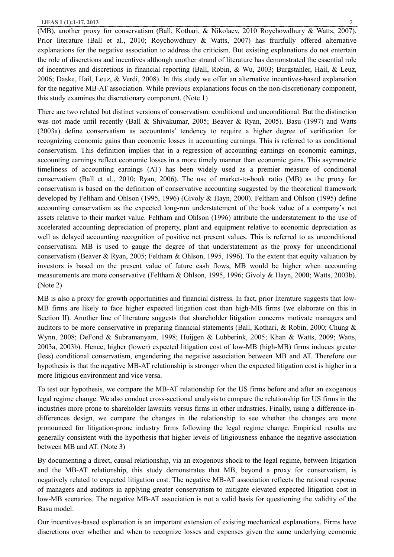(MB), another proxy for conservatism (Ball, Kothari, & Nikolaev, 2010 Roychowdhury & Watts, 2007). Prior literature (Ball et al., 2010; Roychowdhury & Watts, 2007) has fruitfully offered alternative explanations for the negative association to address the criticism. But existing explanations do not entertain the role of discretions and incentives although another strand of literature has demonstrated the essential role of incentives and discretions in financial reporting (Ball, Robin, & Wu, 2003; Burgstahler, Hail, & Leuz, 2006; Daske, Hail, Leuz, & Verdi, 2008). In this study we offer an alternative incentives-based explanation for the negative MB-AT association. While previous explanations focus on the non-discretionary component, this study examines the discretionary component. (Note 1)

There are two related but distinct versions of conservatism: conditional and unconditional. But the distinction was not made until recently (Ball & Shivakumar, 2005; Beaver & Ryan, 2005). Basu (1997) and Watts (2003a) define conservatism as accountants' tendency to require a higher degree of verification for recognizing economic gains than economic losses in accounting earnings. This is referred to as conditional conservatism. This definition implies that in a regression of accounting earnings on economic earnings, accounting earnings reflect economic losses in a more timely manner than economic gains. This asymmetric timeliness of accounting earnings (AT) has been widely used as a premier measure of conditional conservatism (Ball et al., 2010; Ryan, 2006). The use of market-to-book ratio (MB) as the proxy for conservatism is based on the definition of conservative accounting suggested by the theoretical framework developed by Feltham and Ohlson (1995, 1996) (Givoly & Hayn, 2000). Feltham and Ohlson (1995) define accounting conservatism as the expected long-run understatement of the book value of a company's net assets relative to their market value. Feltham and Ohlson (1996) attribute the understatement to the use of accelerated accounting depreciation of property, plant and equipment relative to economic depreciation as well as delayed accounting recognition of positive net present values. This is referred to as unconditional conservatism. MB is used to gauge the degree of that understatement as the proxy for unconditional conservatism (Beaver & Ryan, 2005; Feltham & Ohlson, 1995, 1996). To the extent that equity valuation by investors is based on the present value of future cash flows, MB would be higher when accounting measurements are more conservative (Feltham & Ohlson, 1995, 1996; Givoly & Hayn, 2000; Watts, 2003b). (Note 2)

MB is also a proxy for growth opportunities and financial distress. In fact, prior literature suggests that low-MB firms are likely to face higher expected litigation cost than high-MB firms (we elaborate on this in Section II). Another line of literature suggests that shareholder litigation concerns motivate managers and auditors to be more conservative in preparing financial statements (Ball, Kothari, & Robin, 2000; Chung & Wynn, 2008; DeFond & Subramanyam, 1998; Huijgen & Lubberink, 2005; Khan & Watts, 2009; Watts, 2003a, 2003b). Hence, higher (lower) expected litigation cost of low-MB (high-MB) firms induces greater (less) conditional conservatism, engendering the negative association between MB and AT. Therefore our hypothesis is that the negative MB-AT relationship is stronger when the expected litigation cost is higher in a more litigious environment and vice versa.

To test our hypothesis, we compare the MB-AT relationship for the US firms before and after an exogenous legal regime change. We also conduct cross-sectional analysis to compare the relationship for US firms in the industries more prone to shareholder lawsuits versus firms in other industries. Finally, using a difference-indifferences design, we compare the changes in the relationship to see whether the changes are more pronounced for litigation-prone industry firms following the legal regime change. Empirical results are generally consistent with the hypothesis that higher levels of litigiousness enhance the negative association between MB and AT. (Note 3)

By documenting a direct, causal relationship, via an exogenous shock to the legal regime, between litigation and the MB-AT relationship, this study demonstrates that MB, beyond a proxy for conservatism, is negatively related to expected litigation cost. The negative MB-AT association reflects the rational response of managers and auditors in applying greater conservatism to mitigate elevated expected litigation cost in low-MB scenarios. The negative MB-AT association is not a valid basis for questioning the validity of the Basu model.

Our incentives-based explanation is an important extension of existing mechanical explanations. Firms have discretions over whether and when to recognize losses and expenses given the same underlying economic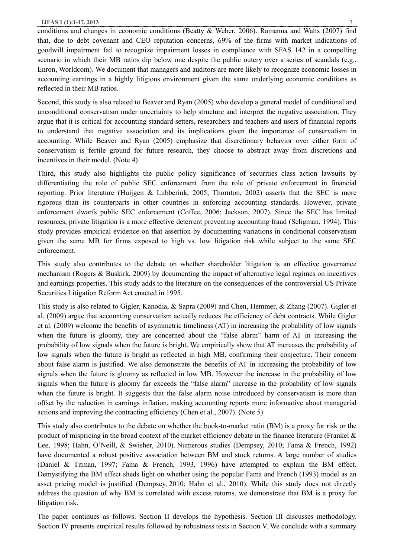conditions and changes in economic conditions (Beatty & Weber, 2006). Ramanna and Watts (2007) find that, due to debt covenant and CEO reputation concerns, 69% of the firms with market indications of goodwill impairment fail to recognize impairment losses in compliance with SFAS 142 in a compelling scenario in which their MB ratios dip below one despite the public outcry over a series of scandals (e.g., Enron, Worldcom). We document that managers and auditors are more likely to recognize economic losses in accounting earnings in a highly litigious environment given the same underlying economic conditions as reflected in their MB ratios.

Second, this study is also related to Beaver and Ryan (2005) who develop a general model of conditional and unconditional conservatism under uncertainty to help structure and interpret the negative association. They argue that it is critical for accounting standard setters, researchers and teachers and users of financial reports to understand that negative association and its implications given the importance of conservatism in accounting. While Beaver and Ryan (2005) emphasize that discretionary behavior over either form of conservatism is fertile ground for future research, they choose to abstract away from discretions and incentives in their model. (Note 4)

Third, this study also highlights the public policy significance of securities class action lawsuits by differentiating the role of public SEC enforcement from the role of private enforcement in financial reporting. Prior literature (Huijgen & Lubberink, 2005; Thornton, 2002) asserts that the SEC is more rigorous than its counterparts in other countries in enforcing accounting standards. However, private enforcement dwarfs public SEC enforcement (Coffee, 2006; Jackson, 2007). Since the SEC has limited resources, private litigation is a more effective deterrent preventing accounting fraud (Seligman, 1994). This study provides empirical evidence on that assertion by documenting variations in conditional conservatism given the same MB for firms exposed to high vs. low litigation risk while subject to the same SEC enforcement.

This study also contributes to the debate on whether shareholder litigation is an effective governance mechanism (Rogers & Buskirk, 2009) by documenting the impact of alternative legal regimes on incentives and earnings properties. This study adds to the literature on the consequences of the controversial US Private Securities Litigation Reform Act enacted in 1995.

This study is also related to Gigler, Kanodia, & Sapra (2009) and Chen, Hemmer, & Zhang (2007). Gigler et al. (2009) argue that accounting conservatism actually reduces the efficiency of debt contracts. While Gigler et al. (2009) welcome the benefits of asymmetric timeliness (AT) in increasing the probability of low signals when the future is gloomy, they are concerned about the "false alarm" harm of AT in increasing the probability of low signals when the future is bright. We empirically show that AT increases the probability of low signals when the future is bright as reflected in high MB, confirming their conjecture. Their concern about false alarm is justified. We also demonstrate the benefits of AT in increasing the probability of low signals when the future is gloomy as reflected in low MB. However the increase in the probability of low signals when the future is gloomy far exceeds the "false alarm" increase in the probability of low signals when the future is bright. It suggests that the false alarm noise introduced by conservatism is more than offset by the reduction in earnings inflation, making accounting reports more informative about managerial actions and improving the contracting efficiency (Chen et al., 2007). (Note 5)

This study also contributes to the debate on whether the book-to-market ratio (BM) is a proxy for risk or the product of mispricing in the broad context of the market efficiency debate in the finance literature (Frankel  $\&$ Lee, 1998; Hahn, O'Neill, & Swisher, 2010). Numerous studies (Dempsey, 2010; Fama & French, 1992) have documented a robust positive association between BM and stock returns. A large number of studies (Daniel & Titman, 1997; Fama & French, 1993, 1996) have attempted to explain the BM effect. Demystifying the BM effect sheds light on whether using the popular Fama and French (1993) model as an asset pricing model is justified (Dempsey, 2010; Hahn et al., 2010). While this study does not directly address the question of why BM is correlated with excess returns, we demonstrate that BM is a proxy for litigation risk.

The paper continues as follows. Section II develops the hypothesis. Section III discusses methodology. Section IV presents empirical results followed by robustness tests in Section V. We conclude with a summary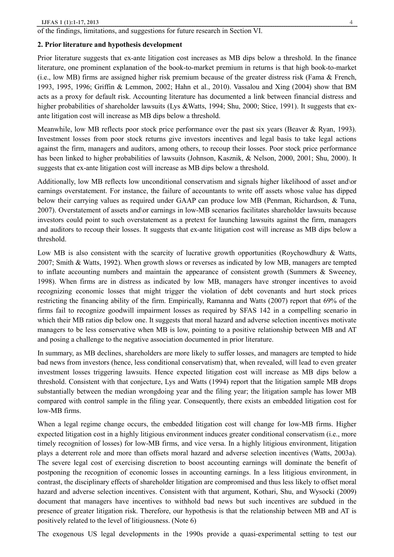of the findings, limitations, and suggestions for future research in Section VI.

## **2. Prior literature and hypothesis development**

Prior literature suggests that ex-ante litigation cost increases as MB dips below a threshold. In the finance literature, one prominent explanation of the book-to-market premium in returns is that high book-to-market (i.e., low MB) firms are assigned higher risk premium because of the greater distress risk (Fama & French, 1993, 1995, 1996; Griffin & Lemmon, 2002; Hahn et al., 2010). Vassalou and Xing (2004) show that BM acts as a proxy for default risk. Accounting literature has documented a link between financial distress and higher probabilities of shareholder lawsuits (Lys &Watts, 1994; Shu, 2000; Stice, 1991). It suggests that exante litigation cost will increase as MB dips below a threshold.

Meanwhile, low MB reflects poor stock price performance over the past six years (Beaver & Ryan, 1993). Investment losses from poor stock returns give investors incentives and legal basis to take legal actions against the firm, managers and auditors, among others, to recoup their losses. Poor stock price performance has been linked to higher probabilities of lawsuits (Johnson, Kasznik, & Nelson, 2000, 2001; Shu, 2000). It suggests that ex-ante litigation cost will increase as MB dips below a threshold.

Additionally, low MB reflects low unconditional conservatism and signals higher likelihood of asset and\or earnings overstatement. For instance, the failure of accountants to write off assets whose value has dipped below their carrying values as required under GAAP can produce low MB (Penman, Richardson, & Tuna, 2007). Overstatement of assets and\or earnings in low-MB scenarios facilitates shareholder lawsuits because investors could point to such overstatement as a pretext for launching lawsuits against the firm, managers and auditors to recoup their losses. It suggests that ex-ante litigation cost will increase as MB dips below a threshold.

Low MB is also consistent with the scarcity of lucrative growth opportunities (Roychowdhury & Watts, 2007; Smith & Watts, 1992). When growth slows or reverses as indicated by low MB, managers are tempted to inflate accounting numbers and maintain the appearance of consistent growth (Summers & Sweeney, 1998). When firms are in distress as indicated by low MB, managers have stronger incentives to avoid recognizing economic losses that might trigger the violation of debt covenants and hurt stock prices restricting the financing ability of the firm. Empirically, Ramanna and Watts (2007) report that 69% of the firms fail to recognize goodwill impairment losses as required by SFAS 142 in a compelling scenario in which their MB ratios dip below one. It suggests that moral hazard and adverse selection incentives motivate managers to be less conservative when MB is low, pointing to a positive relationship between MB and AT and posing a challenge to the negative association documented in prior literature.

In summary, as MB declines, shareholders are more likely to suffer losses, and managers are tempted to hide bad news from investors (hence, less conditional conservatism) that, when revealed, will lead to even greater investment losses triggering lawsuits. Hence expected litigation cost will increase as MB dips below a threshold. Consistent with that conjecture, Lys and Watts (1994) report that the litigation sample MB drops substantially between the median wrongdoing year and the filing year; the litigation sample has lower MB compared with control sample in the filing year. Consequently, there exists an embedded litigation cost for low-MB firms.

When a legal regime change occurs, the embedded litigation cost will change for low-MB firms. Higher expected litigation cost in a highly litigious environment induces greater conditional conservatism (i.e., more timely recognition of losses) for low-MB firms, and vice versa. In a highly litigious environment, litigation plays a deterrent role and more than offsets moral hazard and adverse selection incentives (Watts, 2003a). The severe legal cost of exercising discretion to boost accounting earnings will dominate the benefit of postponing the recognition of economic losses in accounting earnings. In a less litigious environment, in contrast, the disciplinary effects of shareholder litigation are compromised and thus less likely to offset moral hazard and adverse selection incentives. Consistent with that argument, Kothari, Shu, and Wysocki (2009) document that managers have incentives to withhold bad news but such incentives are subdued in the presence of greater litigation risk. Therefore, our hypothesis is that the relationship between MB and AT is positively related to the level of litigiousness. (Note 6)

The exogenous US legal developments in the 1990s provide a quasi-experimental setting to test our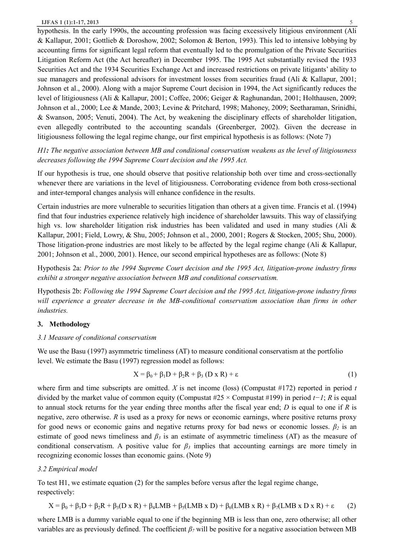hypothesis. In the early 1990s, the accounting profession was facing excessively litigious environment (Ali & Kallapur, 2001; Gottlieb & Doroshow, 2002; Solomon & Berton, 1993). This led to intensive lobbying by accounting firms for significant legal reform that eventually led to the promulgation of the Private Securities Litigation Reform Act (the Act hereafter) in December 1995. The 1995 Act substantially revised the 1933 Securities Act and the 1934 Securities Exchange Act and increased restrictions on private litigants' ability to sue managers and professional advisors for investment losses from securities fraud (Ali & Kallapur, 2001; Johnson et al., 2000). Along with a major Supreme Court decision in 1994, the Act significantly reduces the level of litigiousness (Ali & Kallapur, 2001; Coffee, 2006; Geiger & Raghunandan, 2001; Holthausen, 2009; Johnson et al., 2000; Lee & Mande, 2003; Levine & Pritchard, 1998; Mahoney, 2009; Seetharaman, Srinidhi, & Swanson, 2005; Venuti, 2004). The Act, by weakening the disciplinary effects of shareholder litigation, even allegedly contributed to the accounting scandals (Greenberger, 2002). Given the decrease in litigiousness following the legal regime change, our first empirical hypothesis is as follows: (Note 7)

*H1: The negative association between MB and conditional conservatism weakens as the level of litigiousness decreases following the 1994 Supreme Court decision and the 1995 Act.*

If our hypothesis is true, one should observe that positive relationship both over time and cross-sectionally whenever there are variations in the level of litigiousness. Corroborating evidence from both cross-sectional and inter-temporal changes analysis will enhance confidence in the results.

Certain industries are more vulnerable to securities litigation than others at a given time. Francis et al. (1994) find that four industries experience relatively high incidence of shareholder lawsuits. This way of classifying high vs. low shareholder litigation risk industries has been validated and used in many studies (Ali & Kallapur, 2001; Field, Lowry, & Shu, 2005; Johnson et al., 2000, 2001; Rogers & Stocken, 2005; Shu, 2000). Those litigation-prone industries are most likely to be affected by the legal regime change (Ali & Kallapur, 2001; Johnson et al., 2000, 2001). Hence, our second empirical hypotheses are as follows: (Note 8)

Hypothesis 2a: *Prior to the 1994 Supreme Court decision and the 1995 Act, litigation-prone industry firms exhibit a stronger negative association between MB and conditional conservatism.*

Hypothesis 2b: *Following the 1994 Supreme Court decision and the 1995 Act, litigation-prone industry firms will experience a greater decrease in the MB-conditional conservatism association than firms in other industries.* 

## **3. Methodology**

### *3.1 Measure of conditional conservatism*

We use the Basu (1997) asymmetric timeliness (AT) to measure conditional conservatism at the portfolio level. We estimate the Basu (1997) regression model as follows:

$$
X = \beta_0 + \beta_1 D + \beta_2 R + \beta_3 (D \times R) + \varepsilon
$$
 (1)

where firm and time subscripts are omitted. *X* is net income (loss) (Compustat #172) reported in period *t* divided by the market value of common equity (Compustat #25 × Compustat #199) in period *t−1*; *R* is equal to annual stock returns for the year ending three months after the fiscal year end; *D* is equal to one if *R* is negative, zero otherwise. *R* is used as a proxy for news or economic earnings, where positive returns proxy for good news or economic gains and negative returns proxy for bad news or economic losses.  $\beta_2$  is an estimate of good news timeliness and  $\beta_3$  is an estimate of asymmetric timeliness (AT) as the measure of conditional conservatism. A positive value for  $\beta_3$  implies that accounting earnings are more timely in recognizing economic losses than economic gains. (Note 9)

## *3.2 Empirical model*

To test H1, we estimate equation (2) for the samples before versus after the legal regime change, respectively:

$$
X = \beta_0 + \beta_1 D + \beta_2 R + \beta_3 (D \times R) + \beta_4 LMB + \beta_5 (LMB \times D) + \beta_6 (LMB \times R) + \beta_7 (LMB \times D \times R) + \epsilon \tag{2}
$$

where LMB is a dummy variable equal to one if the beginning MB is less than one, zero otherwise; all other variables are as previously defined. The coefficient  $\beta_7$  will be positive for a negative association between MB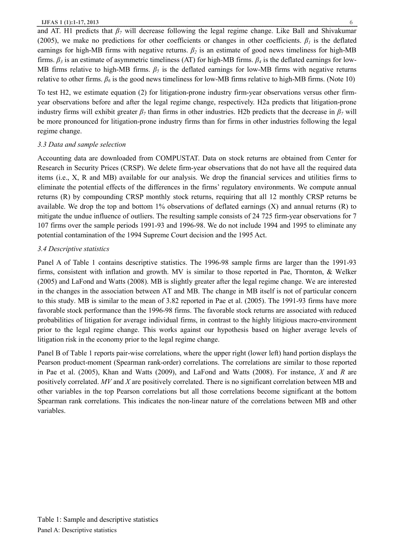and AT. H1 predicts that  $\beta_7$  will decrease following the legal regime change. Like Ball and Shivakumar (2005), we make no predictions for other coefficients or changes in other coefficients.  $\beta_l$  is the deflated earnings for high-MB firms with negative returns.  $\beta_2$  is an estimate of good news timeliness for high-MB firms.  $\beta_3$  is an estimate of asymmetric timeliness (AT) for high-MB firms.  $\beta_4$  is the deflated earnings for low-MB firms relative to high-MB firms.  $\beta_5$  is the deflated earnings for low-MB firms with negative returns relative to other firms.  $\beta_6$  is the good news timeliness for low-MB firms relative to high-MB firms. (Note 10)

To test H2, we estimate equation (2) for litigation-prone industry firm-year observations versus other firmyear observations before and after the legal regime change, respectively. H2a predicts that litigation-prone industry firms will exhibit greater  $\beta_7$  than firms in other industries. H2b predicts that the decrease in  $\beta_7$  will be more pronounced for litigation-prone industry firms than for firms in other industries following the legal regime change.

# *3.3 Data and sample selection*

Accounting data are downloaded from COMPUSTAT. Data on stock returns are obtained from Center for Research in Security Prices (CRSP). We delete firm-year observations that do not have all the required data items (i.e., X, R and MB) available for our analysis. We drop the financial services and utilities firms to eliminate the potential effects of the differences in the firms' regulatory environments. We compute annual returns (R) by compounding CRSP monthly stock returns, requiring that all 12 monthly CRSP returns be available. We drop the top and bottom  $1\%$  observations of deflated earnings  $(X)$  and annual returns  $(R)$  to mitigate the undue influence of outliers. The resulting sample consists of 24 725 firm-year observations for 7 107 firms over the sample periods 1991-93 and 1996-98. We do not include 1994 and 1995 to eliminate any potential contamination of the 1994 Supreme Court decision and the 1995 Act.

# *3.4 Descriptive statistics*

Panel A of Table 1 contains descriptive statistics. The 1996-98 sample firms are larger than the 1991-93 firms, consistent with inflation and growth. MV is similar to those reported in Pae, Thornton, & Welker (2005) and LaFond and Watts (2008). MB is slightly greater after the legal regime change. We are interested in the changes in the association between AT and MB. The change in MB itself is not of particular concern to this study. MB is similar to the mean of 3.82 reported in Pae et al. (2005). The 1991-93 firms have more favorable stock performance than the 1996-98 firms. The favorable stock returns are associated with reduced probabilities of litigation for average individual firms, in contrast to the highly litigious macro-environment prior to the legal regime change. This works against our hypothesis based on higher average levels of litigation risk in the economy prior to the legal regime change.

Panel B of Table 1 reports pair-wise correlations, where the upper right (lower left) hand portion displays the Pearson product-moment (Spearman rank-order) correlations. The correlations are similar to those reported in Pae et al. (2005), Khan and Watts (2009), and LaFond and Watts (2008). For instance, *X* and *R* are positively correlated. *MV* and *X* are positively correlated. There is no significant correlation between MB and other variables in the top Pearson correlations but all those correlations become significant at the bottom Spearman rank correlations. This indicates the non-linear nature of the correlations between MB and other variables.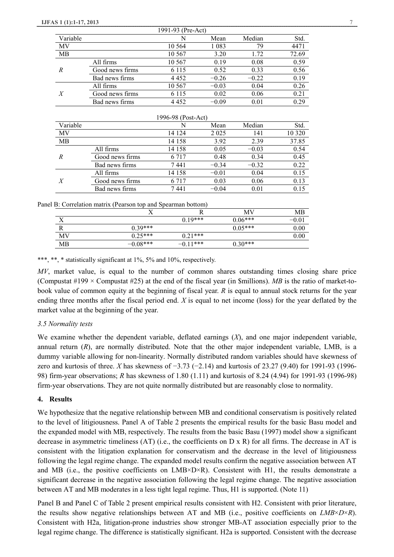|                  |                 | 1991-93 (Pre-Act) |         |         |       |
|------------------|-----------------|-------------------|---------|---------|-------|
| Variable         |                 | N                 | Mean    | Median  | Std.  |
| MV               |                 | 10 5 64           | 1 0 8 3 | 79      | 4471  |
| MВ               |                 | 10 567            | 3.20    | 1.72    | 72.69 |
| R                | All firms       | 10 5 67           | 0.19    | 0.08    | 0.59  |
|                  | Good news firms | 6 1 1 5           | 0.52    | 0.33    | 0.56  |
|                  | Bad news firms  | 4 4 5 2           | $-0.26$ | $-0.22$ | 0.19  |
|                  | All firms       | 10 567            | $-0.03$ | 0.04    | 0.26  |
| $\boldsymbol{X}$ | Good news firms | 6 1 1 5           | 0.02    | 0.06    | 0.21  |
|                  | Bad news firms  | 4452              | $-0.09$ | 0.01    | 0.29  |

| 1996-98 (Post-Act) |                 |         |         |         |         |  |
|--------------------|-----------------|---------|---------|---------|---------|--|
| Variable           |                 | N       | Mean    | Median  | Std.    |  |
| MV                 |                 | 14 124  | 2 0 2 5 | 141     | 10 3 20 |  |
| MВ                 |                 | 14 158  | 3.92    | 2.39    | 37.85   |  |
| R                  | All firms       | 14 158  | 0.05    | $-0.03$ | 0.54    |  |
|                    | Good news firms | 6 7 1 7 | 0.48    | 0.34    | 0.45    |  |
|                    | Bad news firms  | 7441    | $-0.34$ | $-0.32$ | 0.22    |  |
|                    | All firms       | 14 158  | $-0.01$ | 0.04    | 0.15    |  |
| X                  | Good news firms | 6 7 1 7 | 0.03    | 0.06    | 0.13    |  |
|                    | Bad news firms  | 7441    | $-0.04$ | 0.01    | 0.15    |  |

| Panel B: Correlation matrix (Pearson top and Spearman bottom) |  |  |  |
|---------------------------------------------------------------|--|--|--|
|                                                               |  |  |  |

|     | -------    |            |           |          |
|-----|------------|------------|-----------|----------|
|     |            |            | МV        | МB       |
| x r |            | $0.19***$  | $0.06***$ | $-0.0$   |
|     | $0.39***$  |            | $0.05***$ | $0.00\,$ |
| MV  | $0.25***$  | $0.21***$  |           | $0.00\,$ |
| MB  | $-0.08***$ | $-0.11***$ | $0.30***$ |          |

\*\*\*, \*\*, \* statistically significant at 1%, 5% and 10%, respectively.

MV, market value, is equal to the number of common shares outstanding times closing share price (Compustat  $\#199 \times$  Compustat  $\#25$ ) at the end of the fiscal year (in \$millions). *MB* is the ratio of market-tobook value of common equity at the beginning of fiscal year. *R* is equal to annual stock returns for the year ending three months after the fiscal period end. *X* is equal to net income (loss) for the year deflated by the market value at the beginning of the year.

## *3.5 Normality tests*

We examine whether the dependent variable, deflated earnings (*X*), and one major independent variable, annual return (*R*), are normally distributed. Note that the other major independent variable, LMB, is a dummy variable allowing for non-linearity. Normally distributed random variables should have skewness of zero and kurtosis of three. *X* has skewness of −3.73 (−2.14) and kurtosis of 23.27 (9.40) for 1991-93 (1996- 98) firm-year observations; *R* has skewness of 1.80 (1.11) and kurtosis of 8.24 (4.94) for 1991-93 (1996-98) firm-year observations. They are not quite normally distributed but are reasonably close to normality.

#### **4. Results**

We hypothesize that the negative relationship between MB and conditional conservatism is positively related to the level of litigiousness. Panel A of Table 2 presents the empirical results for the basic Basu model and the expanded model with MB, respectively. The results from the basic Basu (1997) model show a significant decrease in asymmetric timeliness  $(AT)$  (i.e., the coefficients on D x R) for all firms. The decrease in AT is consistent with the litigation explanation for conservatism and the decrease in the level of litigiousness following the legal regime change. The expanded model results confirm the negative association between AT and MB (i.e., the positive coefficients on  $LMB\times D\times R$ ). Consistent with H1, the results demonstrate a significant decrease in the negative association following the legal regime change. The negative association between AT and MB moderates in a less tight legal regime. Thus, H1 is supported. (Note 11)

Panel B and Panel C of Table 2 present empirical results consistent with H2. Consistent with prior literature, the results show negative relationships between AT and MB (i.e., positive coefficients on *LMB*×*D*×*R*). Consistent with H2a, litigation-prone industries show stronger MB-AT association especially prior to the legal regime change. The difference is statistically significant. H2a is supported. Consistent with the decrease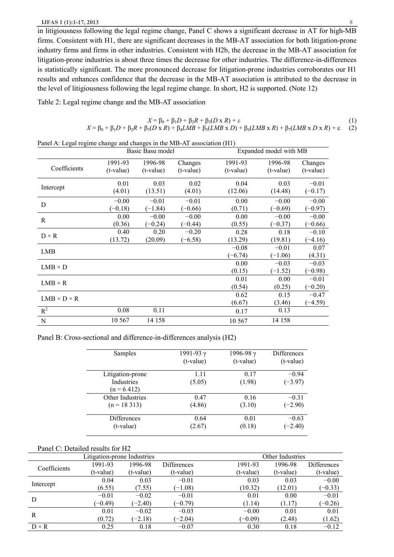in litigiousness following the legal regime change, Panel C shows a significant decrease in AT for high-MB firms. Consistent with H1, there are significant decreases in the MB-AT association for both litigation-prone industry firms and firms in other industries. Consistent with H2b, the decrease in the MB-AT association for litigation-prone industries is about three times the decrease for other industries. The difference-in-differences is statistically significant. The more pronounced decrease for litigation-prone industries corroborates our H1 results and enhances confidence that the decrease in the MB-AT association is attributed to the decrease in the level of litigiousness following the legal regime change. In short, H2 is supported. (Note 12)

Table 2: Legal regime change and the MB-AT association

$$
X = \beta_0 + \beta_1 D + \beta_2 R + \beta_3 (D \times R) + \varepsilon
$$
  
(1)  

$$
X = \beta_0 + \beta_1 D + \beta_2 R + \beta_3 (D \times R) + \beta_4 L M B + \beta_5 (L M B \times D) + \beta_6 (L M B \times R) + \beta_7 (L M B \times D \times R) + \varepsilon
$$
 (2)

Panel A: Legal regime change and changes in the MB-AT association (H1)

|                         | Basic Basu model |             |             | Expanded model with MB |             |             |
|-------------------------|------------------|-------------|-------------|------------------------|-------------|-------------|
|                         | 1991-93          | 1996-98     | Changes     | 1991-93                | 1996-98     | Changes     |
| Coefficients            | (t-value)        | $(t-value)$ | $(t-value)$ | (t-value)              | $(t-value)$ | $(t-value)$ |
|                         | 0.01             | 0.03        | 0.02        | 0.04                   | 0.03        | $-0.01$     |
| Intercept               | (4.01)           | (13.51)     | (4.01)      | (12.06)                | (14.48)     | $(-0.17)$   |
| D                       | $-0.00$          | $-0.01$     | $-0.01$     | 0.00                   | $-0.00$     | $-0.00$     |
|                         | $(-0.18)$        | $(-1.84)$   | $(-0.66)$   | (0.71)                 | $(-0.69)$   | $(-0.97)$   |
| $\mathbb{R}$            | 0.00             | $-0.00$     | $-0.00$     | 0.00                   | $-0.00$     | $-0.00$     |
|                         | (0.36)           | $(-0.24)$   | $(-0.44)$   | (0.55)                 | $(-0.37)$   | $(-0.66)$   |
| $D \times R$            | 0.40             | 0.20        | $-0.20$     | 0.28                   | 0.18        | $-0.10$     |
|                         | (13.72)          | (20.09)     | $(-6.58)$   | (13.29)                | (19.81)     | $(-4.16)$   |
| <b>LMB</b>              |                  |             |             | $-0.08$                | $-0.01$     | 0.07        |
|                         |                  |             |             | $(-6.74)$              | $(-1.06)$   | (4.31)      |
| $LMB \times D$          |                  |             |             | 0.00                   | $-0.03$     | $-0.03$     |
|                         |                  |             |             | (0.15)                 | $(-1.52)$   | $(-0.98)$   |
| $LMB \times R$          |                  |             |             | 0.01                   | 0.00        | $-0.01$     |
|                         |                  |             |             | (0.54)                 | (0.25)      | $(-0.20)$   |
| $LMB \times D \times R$ |                  |             |             | 0.62                   | 0.15        | $-0.47$     |
|                         |                  |             |             | (6.67)                 | (3.46)      | $(-4.59)$   |
| $R^2$                   | 0.08             | 0.11        |             | 0.17                   | 0.13        |             |
| N                       | 10 567           | 14 158      |             | 10 5 67                | 14 158      |             |
|                         |                  |             |             |                        |             |             |

Panel B: Cross-sectional and difference-in-differences analysis (H2)

| Samples          | 1991-93 γ<br>$(t-value)$ | 1996-98 γ<br>(t-value) | Differences<br>$(t-value)$ |
|------------------|--------------------------|------------------------|----------------------------|
| Litigation-prone | 1.11                     | 0.17                   | $-0.94$                    |
| Industries       | (5.05)                   | (1.98)                 | $(-3.97)$                  |
| $(n = 6 412)$    |                          |                        |                            |
| Other Industries | 0.47                     | 0.16                   | $-0.31$                    |
| $(n = 18313)$    | (4.86)                   | (3.10)                 | $(-2.90)$                  |
| Differences      | 0.64                     | 0.01                   | $-0.63$                    |
| $(t-value)$      | (2.67)                   | (0.18)                 | $(-2.40)$                  |

#### Panel C: Detailed results for H2

|              |           | Litigation-prone Industries |             |           | Other Industries |                    |
|--------------|-----------|-----------------------------|-------------|-----------|------------------|--------------------|
| Coefficients | 1991-93   | 1996-98                     | Differences | 1991-93   | 1996-98          | <b>Differences</b> |
|              | (t-value) | (t-value)                   | $(t-value)$ | (t-value) | (t-value)        | (t-value)          |
|              | 0.04      | 0.03                        | $-0.01$     | 0.03      | 0.03             | $-0.00$            |
| Intercept    | (6.55)    | (7.55)                      | $(-1.08)$   | (10.32)   | (12.01)          | $(-0.33)$          |
| D            | $-0.01$   | $-0.02$                     | $-0.01$     | 0.01      | 0.00             | $-0.01$            |
|              | $(-0.49)$ | $(-2.40)$                   | $(-0.79)$   | (1.14)    | (1.17)           | $(-0.26)$          |
| R            | 0.01      | $-0.02$                     | $-0.03$     | $-0.00$   | 0.01             | 0.01               |
|              | (0.72)    | $(-2.18)$                   | $(-2.04)$   | $(-0.09)$ | (2.48)           | (1.62)             |
| $D \times R$ | 0.25      | 0.18                        | $-0.07$     | 0.30      | 0.18             | $-0.12$            |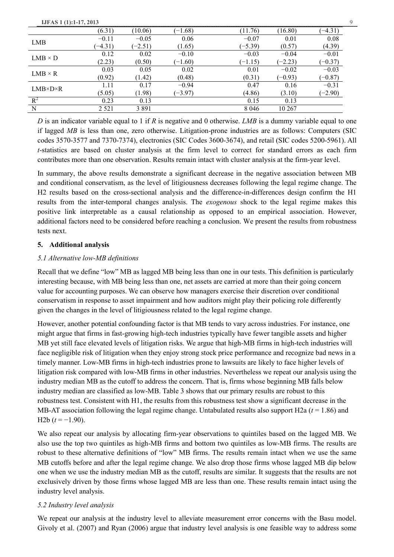| <b>IJFAS 1 (1):1-17, 2013</b> |           |           |           |           |           | 9         |
|-------------------------------|-----------|-----------|-----------|-----------|-----------|-----------|
|                               | (6.31)    | (10.06)   | $(-1.68)$ | (11.76)   | (16.80)   | $(-4.31)$ |
| <b>LMB</b>                    | $-0.11$   | $-0.05$   | 0.06      | $-0.07$   | 0.01      | 0.08      |
|                               | $(-4.31)$ | $(-2.51)$ | (1.65)    | $(-5.39)$ | (0.57)    | (4.39)    |
| $LMB \times D$                | 0.12      | 0.02      | $-0.10$   | $-0.03$   | $-0.04$   | $-0.01$   |
|                               | (2.23)    | (0.50)    | $(-1.60)$ | $(-1.15)$ | $(-2.23)$ | $(-0.37)$ |
| $LMB \times R$                | 0.03      | 0.05      | 0.02      | 0.01      | $-0.02$   | $-0.03$   |
|                               | (0.92)    | (1.42)    | (0.48)    | (0.31)    | $(-0.93)$ | $(-0.87)$ |
| $LMB\times D\times R$         | 1.11      | 0.17      | $-0.94$   | 0.47      | 0.16      | $-0.31$   |
|                               | (5.05)    | (1.98)    | $(-3.97)$ | (4.86)    | (3.10)    | $(-2.90)$ |
| $R^2$                         | 0.23      | 0.13      |           | 0.15      | 0.13      |           |
| N                             | 2 5 2 1   | 3 8 9 1   |           | 8 0 4 6   | 10 267    |           |

*D* is an indicator variable equal to 1 if *R* is negative and 0 otherwise. *LMB* is a dummy variable equal to one if lagged *MB* is less than one, zero otherwise. Litigation-prone industries are as follows: Computers (SIC codes 3570-3577 and 7370-7374), electronics (SIC Codes 3600-3674), and retail (SIC codes 5200-5961). All *t*-statistics are based on cluster analysis at the firm level to correct for standard errors as each firm contributes more than one observation. Results remain intact with cluster analysis at the firm-year level.

In summary, the above results demonstrate a significant decrease in the negative association between MB and conditional conservatism, as the level of litigiousness decreases following the legal regime change. The H2 results based on the cross-sectional analysis and the difference-in-differences design confirm the H1 results from the inter-temporal changes analysis. The *exogenous* shock to the legal regime makes this positive link interpretable as a causal relationship as opposed to an empirical association. However, additional factors need to be considered before reaching a conclusion. We present the results from robustness tests next.

# **5. Additional analysis**

# *5.1 Alternative low-MB definitions*

Recall that we define "low" MB as lagged MB being less than one in our tests. This definition is particularly interesting because, with MB being less than one, net assets are carried at more than their going concern value for accounting purposes. We can observe how managers exercise their discretion over conditional conservatism in response to asset impairment and how auditors might play their policing role differently given the changes in the level of litigiousness related to the legal regime change.

However, another potential confounding factor is that MB tends to vary across industries. For instance, one might argue that firms in fast-growing high-tech industries typically have fewer tangible assets and higher MB yet still face elevated levels of litigation risks. We argue that high-MB firms in high-tech industries will face negligible risk of litigation when they enjoy strong stock price performance and recognize bad news in a timely manner. Low-MB firms in high-tech industries prone to lawsuits are likely to face higher levels of litigation risk compared with low-MB firms in other industries. Nevertheless we repeat our analysis using the industry median MB as the cutoff to address the concern. That is, firms whose beginning MB falls below industry median are classified as low-MB. Table 3 shows that our primary results are robust to this robustness test. Consistent with H1, the results from this robustness test show a significant decrease in the MB-AT association following the legal regime change. Untabulated results also support H2a (*t* = 1.86) and H2b  $(t = -1.90)$ .

We also repeat our analysis by allocating firm-year observations to quintiles based on the lagged MB. We also use the top two quintiles as high-MB firms and bottom two quintiles as low-MB firms. The results are robust to these alternative definitions of "low" MB firms. The results remain intact when we use the same MB cutoffs before and after the legal regime change. We also drop those firms whose lagged MB dip below one when we use the industry median MB as the cutoff, results are similar. It suggests that the results are not exclusively driven by those firms whose lagged MB are less than one. These results remain intact using the industry level analysis.

## *5.2 Industry level analysis*

We repeat our analysis at the industry level to alleviate measurement error concerns with the Basu model. Givoly et al. (2007) and Ryan (2006) argue that industry level analysis is one feasible way to address some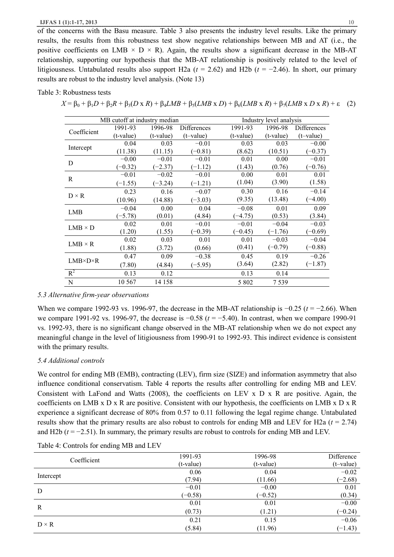of the concerns with the Basu measure. Table 3 also presents the industry level results. Like the primary results, the results from this robustness test show negative relationships between MB and AT (i.e., the positive coefficients on LMB  $\times$  D  $\times$  R). Again, the results show a significant decrease in the MB-AT relationship, supporting our hypothesis that the MB-AT relationship is positively related to the level of litigiousness. Untabulated results also support H2a (*t* = 2.62) and H2b (*t* = −2.46). In short, our primary results are robust to the industry level analysis. (Note 13)

## Table 3: Robustness tests

|  | $X = \beta_0 + \beta_1 D + \beta_2 R + \beta_3 (D \times R) + \beta_4 LMB + \beta_5 (LMB \times D) + \beta_6 (LMB \times R) + \beta_7 (LMB \times D \times R) + \epsilon$ (2) |  |
|--|-------------------------------------------------------------------------------------------------------------------------------------------------------------------------------|--|
|  |                                                                                                                                                                               |  |
|  |                                                                                                                                                                               |  |

|                       |           | MB cutoff at industry median |              |           | Industry level analysis |             |
|-----------------------|-----------|------------------------------|--------------|-----------|-------------------------|-------------|
| Coefficient           | 1991-93   | 1996-98                      | Differences  | 1991-93   | 1996-98                 | Differences |
|                       | (t-value) | (t-value)                    | $(t$ -value) | (t-value) | (t-value)               | $(t-value)$ |
|                       | 0.04      | 0.03                         | $-0.01$      | 0.03      | 0.03                    | $-0.00$     |
| Intercept             | (11.38)   | (11.15)                      | $(-0.81)$    | (8.62)    | (10.51)                 | $(-0.37)$   |
| D                     | $-0.00$   | $-0.01$                      | $-0.01$      | 0.01      | 0.00                    | $-0.01$     |
|                       | $(-0.32)$ | $(-2.37)$                    | $(-1.12)$    | (1.43)    | (0.76)                  | $(-0.76)$   |
|                       | $-0.01$   | $-0.02$                      | $-0.01$      | 0.00      | 0.01                    | 0.01        |
| R                     | $(-1.55)$ | $(-3.24)$                    | $(-1.21)$    | (1.04)    | (3.90)                  | (1.58)      |
|                       | 0.23      | 0.16                         | $-0.07$      | 0.30      | 0.16                    | $-0.14$     |
| $D \times R$          | (10.96)   | (14.88)                      | $(-3.03)$    | (9.35)    | (13.48)                 | $(-4.00)$   |
|                       | $-0.04$   | 0.00                         | 0.04         | $-0.08$   | 0.01                    | 0.09        |
| LMB                   | $(-5.78)$ | (0.01)                       | (4.84)       | $(-4.75)$ | (0.53)                  | (3.84)      |
| $LMB \times D$        | 0.02      | 0.01                         | $-0.01$      | $-0.01$   | $-0.04$                 | $-0.03$     |
|                       | (1.20)    | (1.55)                       | $(-0.39)$    | $(-0.45)$ | $(-1.76)$               | $-0.69$     |
|                       | 0.02      | 0.03                         | 0.01         | 0.01      | $-0.03$                 | $-0.04$     |
| $LMB \times R$        | (1.88)    | (3.72)                       | (0.66)       | (0.41)    | $(-0.79)$               | $(-0.88)$   |
|                       | 0.47      | 0.09                         | $-0.38$      | 0.45      | 0.19                    | $-0.26$     |
| $LMB\times D\times R$ | (7.80)    | (4.84)                       | $(-5.95)$    | (3.64)    | (2.82)                  | $(-1.87)$   |
| $R^2$                 | 0.13      | 0.12                         |              | 0.13      | 0.14                    |             |
| $\mathbf N$           | 10 5 67   | 14 158                       |              | 5 8 0 2   | 7539                    |             |

## *5.3 Alternative firm-year observations*

When we compare 1992-93 vs. 1996-97, the decrease in the MB-AT relationship is −0.25 (*t* = −2.66). When we compare 1991-92 vs. 1996-97, the decrease is −0.58 (*t* = −5.40). In contrast, when we compare 1990-91 vs. 1992-93, there is no significant change observed in the MB-AT relationship when we do not expect any meaningful change in the level of litigiousness from 1990-91 to 1992-93. This indirect evidence is consistent with the primary results.

# *5.4 Additional controls*

We control for ending MB (EMB), contracting (LEV), firm size (SIZE) and information asymmetry that also influence conditional conservatism. Table 4 reports the results after controlling for ending MB and LEV. Consistent with LaFond and Watts (2008), the coefficients on LEV x  $D \times R$  are positive. Again, the coefficients on LMB x D x R are positive. Consistent with our hypothesis, the coefficients on LMB x D x R experience a significant decrease of 80% from 0.57 to 0.11 following the legal regime change. Untabulated results show that the primary results are also robust to controls for ending MB and LEV for H2a (*t* = 2.74) and H2b  $(t = -2.51)$ . In summary, the primary results are robust to controls for ending MB and LEV.

| Coefficient  | 1991-93     | 1996-98     | Difference   |
|--------------|-------------|-------------|--------------|
|              | $(t-value)$ | $(t-value)$ | $(t$ -value) |
|              | 0.06        | 0.04        | $-0.02$      |
| Intercept    | (7.94)      | (11.66)     | $(-2.68)$    |
| D            | $-0.01$     | $-0.00$     | 0.01         |
|              | $(-0.58)$   | $(-0.52)$   | (0.34)       |
|              | 0.01        | 0.01        | $-0.00$      |
| R            | (0.73)      | (1.21)      | $(-0.24)$    |
| $D \times R$ | 0.21        | 0.15        | $-0.06$      |
|              | (5.84)      | (11.96)     | $(-1.43)$    |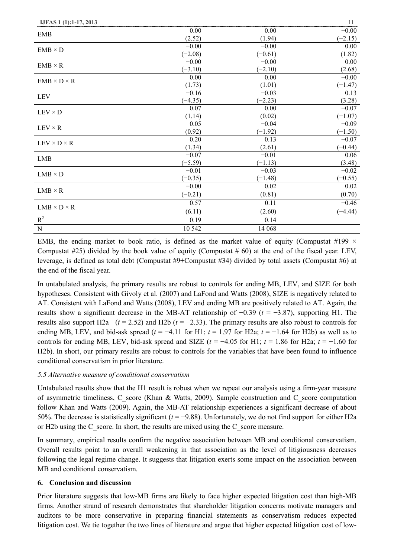| IJFAS 1 (1):1-17, 2013  |           |           | 11        |
|-------------------------|-----------|-----------|-----------|
| <b>EMB</b>              | 0.00      | 0.00      | $-0.00$   |
|                         | (2.52)    | (1.94)    | $(-2.15)$ |
| $EMB \times D$          | $-0.00$   | $-0.00$   | 0.00      |
|                         | $(-2.08)$ | $(-0.61)$ | (1.82)    |
| $EMB \times R$          | $-0.00$   | $-0.00$   | 0.00      |
|                         | $(-3.10)$ | $(-2.10)$ | (2.68)    |
| $EMB \times D \times R$ | 0.00      | 0.00      | $-0.00$   |
|                         | (1.73)    | (1.01)    | $(-1.47)$ |
| <b>LEV</b>              | $-0.16$   | $-0.03$   | 0.13      |
|                         | $(-4.35)$ | $(-2.23)$ | (3.28)    |
| $LEV \times D$          | 0.07      | 0.00      | $-0.07$   |
|                         | (1.14)    | (0.02)    | $(-1.07)$ |
| $LEV \times R$          | 0.05      | $-0.04$   | $-0.09$   |
|                         | (0.92)    | $(-1.92)$ | $(-1.50)$ |
| $LEV \times D \times R$ | 0.20      | 0.13      | $-0.07$   |
|                         | (1.34)    | (2.61)    | $(-0.44)$ |
| <b>LMB</b>              | $-0.07$   | $-0.01$   | 0.06      |
|                         | $(-5.59)$ | $(-1.13)$ | (3.48)    |
| $LMB \times D$          | $-0.01$   | $-0.03$   | $-0.02$   |
|                         | $(-0.35)$ | $(-1.48)$ | $(-0.55)$ |
| $LMB \times R$          | $-0.00$   | 0.02      | 0.02      |
|                         | $(-0.21)$ | (0.81)    | (0.70)    |
| $LMB \times D \times R$ | 0.57      | 0.11      | $-0.46$   |
|                         | (6.11)    | (2.60)    | $(-4.44)$ |
| $R^2$                   | 0.19      | 0.14      |           |
| ${\bf N}$               | 10 542    | 14 068    |           |

EMB, the ending market to book ratio, is defined as the market value of equity (Compustat #199  $\times$ Compustat  $#25$ ) divided by the book value of equity (Compustat  $#60$ ) at the end of the fiscal year. LEV, leverage, is defined as total debt (Compustat #9+Compustat #34) divided by total assets (Compustat #6) at the end of the fiscal year.

In untabulated analysis, the primary results are robust to controls for ending MB, LEV, and SIZE for both hypotheses. Consistent with Givoly et al. (2007) and LaFond and Watts (2008), SIZE is negatively related to AT. Consistent with LaFond and Watts (2008), LEV and ending MB are positively related to AT. Again, the results show a significant decrease in the MB-AT relationship of −0.39 (*t* = −3.87), supporting H1. The results also support H2a  $(t = 2.52)$  and H2b  $(t = -2.33)$ . The primary results are also robust to controls for ending MB, LEV, and bid-ask spread ( $t = -4.11$  for H1;  $t = 1.97$  for H2a;  $t = -1.64$  for H2b) as well as to controls for ending MB, LEV, bid-ask spread and SIZE  $(t = -4.05$  for H1;  $t = 1.86$  for H2a;  $t = -1.60$  for H2b). In short, our primary results are robust to controls for the variables that have been found to influence conditional conservatism in prior literature.

# *5.5 Alternative measure of conditional conservatism*

Untabulated results show that the H1 result is robust when we repeat our analysis using a firm-year measure of asymmetric timeliness, C\_score (Khan & Watts, 2009). Sample construction and C\_score computation follow Khan and Watts (2009). Again, the MB-AT relationship experiences a significant decrease of about 50%. The decrease is statistically significant (*t* = −9.88). Unfortunately, we do not find support for either H2a or H2b using the  $C$  score. In short, the results are mixed using the  $C$  score measure.

In summary, empirical results confirm the negative association between MB and conditional conservatism. Overall results point to an overall weakening in that association as the level of litigiousness decreases following the legal regime change. It suggests that litigation exerts some impact on the association between MB and conditional conservatism.

## **6. Conclusion and discussion**

Prior literature suggests that low-MB firms are likely to face higher expected litigation cost than high-MB firms. Another strand of research demonstrates that shareholder litigation concerns motivate managers and auditors to be more conservative in preparing financial statements as conservatism reduces expected litigation cost. We tie together the two lines of literature and argue that higher expected litigation cost of low-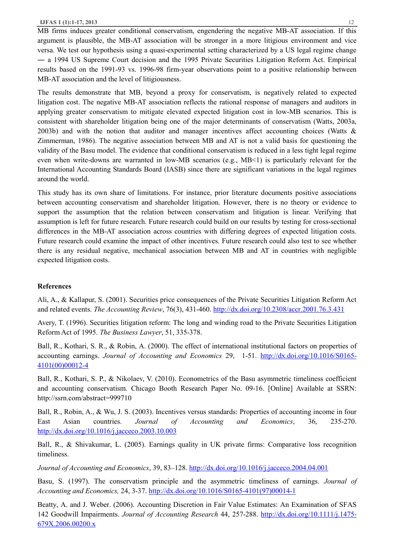MB firms induces greater conditional conservatism, engendering the negative MB-AT association. If this argument is plausible, the MB-AT association will be stronger in a more litigious environment and vice versa. We test our hypothesis using a quasi-experimental setting characterized by a US legal regime change ― a 1994 US Supreme Court decision and the 1995 Private Securities Litigation Reform Act. Empirical results based on the 1991-93 vs. 1996-98 firm-year observations point to a positive relationship between MB-AT association and the level of litigiousness.

The results demonstrate that MB, beyond a proxy for conservatism, is negatively related to expected litigation cost. The negative MB-AT association reflects the rational response of managers and auditors in applying greater conservatism to mitigate elevated expected litigation cost in low-MB scenarios. This is consistent with shareholder litigation being one of the major determinants of conservatism (Watts, 2003a, 2003b) and with the notion that auditor and manager incentives affect accounting choices (Watts & Zimmerman, 1986). The negative association between MB and AT is not a valid basis for questioning the validity of the Basu model. The evidence that conditional conservatism is reduced in a less tight legal regime even when write-downs are warranted in low-MB scenarios (e.g., MB<1) is particularly relevant for the International Accounting Standards Board (IASB) since there are significant variations in the legal regimes around the world.

This study has its own share of limitations. For instance, prior literature documents positive associations between accounting conservatism and shareholder litigation. However, there is no theory or evidence to support the assumption that the relation between conservatism and litigation is linear. Verifying that assumption is left for future research. Future research could build on our results by testing for cross-sectional differences in the MB-AT association across countries with differing degrees of expected litigation costs. Future research could examine the impact of other incentives. Future research could also test to see whether there is any residual negative, mechanical association between MB and AT in countries with negligible expected litigation costs.

## **References**

Ali, A., & Kallapur, S. (2001). Securities price consequences of the Private Securities Litigation Reform Act and related events. *The Accounting Review*, 76(3), 431-460. http://dx.doi.org/10.2308/accr.2001.76.3.431

Avery, T. (1996). Securities litigation reform: The long and winding road to the Private Securities Litigation Reform Act of 1995. *The Business Lawyer*, 51, 335-378.

Ball, R., Kothari, S. R., & Robin, A. (2000). The effect of international institutional factors on properties of accounting earnings. *Journal of Accounting and Economics* 29, 1-51. http://dx.doi.org/10.1016/S0165- 4101(00)00012-4

Ball, R., Kothari, S. P., & Nikolaev, V. (2010). Econometrics of the Basu asymmetric timeliness coefficient and accounting conservatism. Chicago Booth Research Paper No. 09-16. [Online] Available at SSRN: http://ssrn.com/abstract=999710

Ball, R., Robin, A., & Wu, J. S. (2003). Incentives versus standards: Properties of accounting income in four East Asian countries. *Journal of Accounting and Economics*, 36, 235-270. http://dx.doi.org/10.1016/j.jacceco.2003.10.003

Ball, R., & Shivakumar, L. (2005). Earnings quality in UK private firms: Comparative loss recognition timeliness.

*Journal of Accounting and Economics*, 39, 83–128. http://dx.doi.org/10.1016/j.jacceco.2004.04.001

Basu, S. (1997). The conservatism principle and the asymmetric timeliness of earnings. *Journal of Accounting and Economics,* 24, 3-37. http://dx.doi.org/10.1016/S0165-4101(97)00014-1

Beatty, A. and J. Weber. (2006). Accounting Discretion in Fair Value Estimates: An Examination of SFAS 142 Goodwill Impairments. *Journal of Accounting Research* 44, 257-288. http://dx.doi.org/10.1111/j.1475- 679X.2006.00200.x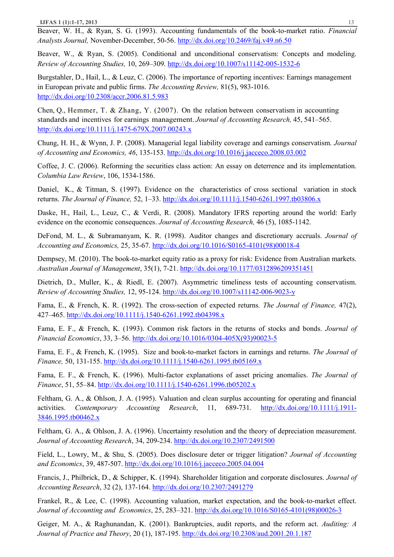Beaver, W. H., & Ryan, S. G. (1993). Accounting fundamentals of the book-to-market ratio. *Financial Analysts Journal,* November-December, 50-56. http://dx.doi.org/10.2469/faj.v49.n6.50

Beaver, W., & Ryan, S. (2005). Conditional and unconditional conservatism: Concepts and modeling. *Review of Accounting Studies,* 10, 269–309. http://dx.doi.org/10.1007/s11142-005-1532-6

Burgstahler, D., Hail, L., & Leuz, C. (2006). The importance of reporting incentives: Earnings management in European private and public firms. *The Accounting Review,* 81(5), 983-1016. http://dx.doi.org/10.2308/accr.2006.81.5.983

Chen, Q., Hemmer, T. & Zhang, Y. (2007). On the relation between conservatism in accounting standards and incentives for earnings management. *Journal of Accounting Research,* 45, 541–565. http://dx.doi.org/10.1111/j.1475-679X.2007.00243.x

Chung, H. H., & Wynn, J. P. (2008). Managerial legal liability coverage and earnings conservatism. *Journal of Accounting and Economics, 46*, 135-153. http://dx.doi.org/10.1016/j.jacceco.2008.03.002

Coffee, J. C. (2006). Reforming the securities class action: An essay on deterrence and its implementation. *Columbia Law Review*, 106, 1534-1586.

Daniel, K., & Titman, S. (1997). Evidence on the characteristics of cross sectional variation in stock returns. *The Journal of Finance,* 52, 1–33. http://dx.doi.org/10.1111/j.1540-6261.1997.tb03806.x

Daske, H., Hail, L., Leuz, C., & Verdi, R. (2008). Mandatory IFRS reporting around the world: Early evidence on the economic consequences. *Journal of Accounting Research,* 46 (5), 1085-1142.

DeFond, M. L., & Subramanyam, K. R. (1998). Auditor changes and discretionary accruals. *Journal of Accounting and Economics,* 25, 35-67. http://dx.doi.org/10.1016/S0165-4101(98)00018-4

Dempsey, M. (2010). The book-to-market equity ratio as a proxy for risk: Evidence from Australian markets. *Australian Journal of Management*, 35(1), 7-21. http://dx.doi.org/10.1177/0312896209351451

Dietrich, D., Muller, K., & Riedl, E. (2007). Asymmetric timeliness tests of accounting conservatism. *Review of Accounting Studies,* 12, 95-124. http://dx.doi.org/10.1007/s11142-006-9023-y

Fama, E., & French, K. R. (1992). The cross-section of expected returns*. The Journal of Finance,* 47(2), 427–465. http://dx.doi.org/10.1111/j.1540-6261.1992.tb04398.x

Fama, E. F., & French, K. (1993). Common risk factors in the returns of stocks and bonds. *Journal of Financial Economics*, 33, 3–56. http://dx.doi.org/10.1016/0304-405X(93)90023-5

Fama, E. F., & French, K. (1995). Size and book-to-market factors in earnings and returns. *The Journal of Finance,* 50, 131-155. http://dx.doi.org/10.1111/j.1540-6261.1995.tb05169.x

Fama, E. F., & French, K. (1996). Multi-factor explanations of asset pricing anomalies. *The Journal of Finance*, 51, 55–84. http://dx.doi.org/10.1111/j.1540-6261.1996.tb05202.x

Feltham, G. A., & Ohlson, J. A. (1995). Valuation and clean surplus accounting for operating and financial activities. *Contemporary Accounting Research*, 11, 689-731. http://dx.doi.org/10.1111/j.1911- 3846.1995.tb00462.x

Feltham, G. A., & Ohlson, J. A. (1996). Uncertainty resolution and the theory of depreciation measurement. *Journal of Accounting Research*, 34, 209-234. http://dx.doi.org/10.2307/2491500

Field, L., Lowry, M., & Shu, S. (2005). Does disclosure deter or trigger litigation? *Journal of Accounting and Economics*, 39, 487-507. http://dx.doi.org/10.1016/j.jacceco.2005.04.004

Francis, J., Philbrick, D., & Schipper, K. (1994). Shareholder litigation and corporate disclosures. *Journal of Accounting Research*, 32 (2), 137-164. http://dx.doi.org/10.2307/2491279

Frankel, R., & Lee, C. (1998). Accounting valuation, market expectation, and the book-to-market effect. *Journal of Accounting and Economics*, 25, 283–321. http://dx.doi.org/10.1016/S0165-4101(98)00026-3

Geiger, M. A., & Raghunandan, K. (2001). Bankruptcies, audit reports, and the reform act. *Auditing: A Journal of Practice and Theory*, 20 (1), 187-195. http://dx.doi.org/10.2308/aud.2001.20.1.187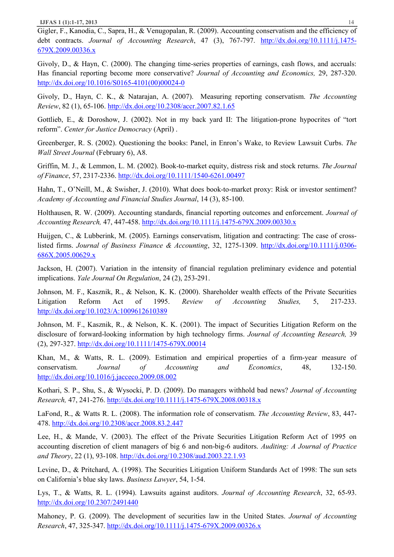Gigler, F., Kanodia, C., Sapra, H., & Venugopalan, R. (2009). Accounting conservatism and the efficiency of debt contracts. *Journal of Accounting Research*, 47 (3), 767-797. http://dx.doi.org/10.1111/j.1475- 679X.2009.00336.x

Givoly, D., & Hayn, C. (2000). The changing time-series properties of earnings, cash flows, and accruals: Has financial reporting become more conservative? *Journal of Accounting and Economics,* 29, 287-320. http://dx.doi.org/10.1016/S0165-4101(00)00024-0

Givoly, D., Hayn, C. K., & Natarajan, A. (2007). Measuring reporting conservatism. *The Accounting Review*, 82 (1), 65-106. http://dx.doi.org/10.2308/accr.2007.82.1.65

Gottlieb, E., & Doroshow, J. (2002). Not in my back yard II: The litigation-prone hypocrites of "tort reform". *Center for Justice Democracy* (April) .

Greenberger, R. S. (2002). Questioning the books: Panel, in Enron's Wake, to Review Lawsuit Curbs. *The Wall Street Journal* (February 6), A8.

Griffin, M. J., & Lemmon, L. M. (2002). Book-to-market equity, distress risk and stock returns. *The Journal of Finance*, 57, 2317-2336. http://dx.doi.org/10.1111/1540-6261.00497

Hahn, T., O'Neill, M., & Swisher, J. (2010). What does book-to-market proxy: Risk or investor sentiment? *Academy of Accounting and Financial Studies Journal*, 14 (3), 85-100.

Holthausen, R. W. (2009). Accounting standards, financial reporting outcomes and enforcement. *Journal of Accounting Research,* 47, 447-458. http://dx.doi.org/10.1111/j.1475-679X.2009.00330.x

Huijgen, C., & Lubberink, M. (2005). Earnings conservatism, litigation and contracting: The case of crosslisted firms. *Journal of Business Finance & Accounting*, 32, 1275-1309. http://dx.doi.org/10.1111/j.0306- 686X.2005.00629.x

Jackson, H. (2007). Variation in the intensity of financial regulation preliminary evidence and potential implications. *Yale Journal On Regulation*, 24 (2), 253-291.

Johnson, M. F., Kasznik, R., & Nelson, K. K. (2000). Shareholder wealth effects of the Private Securities Litigation Reform Act of 1995. *Review of Accounting Studies,* 5, 217-233. http://dx.doi.org/10.1023/A:1009612610389

Johnson, M. F., Kasznik, R., & Nelson, K. K. (2001). The impact of Securities Litigation Reform on the disclosure of forward-looking information by high technology firms. *Journal of Accounting Research,* 39 (2), 297-327. http://dx.doi.org/10.1111/1475-679X.00014

Khan, M., & Watts, R. L. (2009). Estimation and empirical properties of a firm-year measure of conservatism. *Journal of Accounting and Economics*, 48, 132-150. http://dx.doi.org/10.1016/j.jacceco.2009.08.002

Kothari, S. P., Shu, S., & Wysocki, P. D. (2009). Do managers withhold bad news? *Journal of Accounting Research,* 47, 241-276. http://dx.doi.org/10.1111/j.1475-679X.2008.00318.x

LaFond, R., & Watts R. L. (2008). The information role of conservatism. *The Accounting Review*, 83, 447- 478. http://dx.doi.org/10.2308/accr.2008.83.2.447

Lee, H., & Mande, V. (2003). The effect of the Private Securities Litigation Reform Act of 1995 on accounting discretion of client managers of big 6 and non-big-6 auditors. *Auditing: A Journal of Practice and Theory*, 22 (1), 93-108. http://dx.doi.org/10.2308/aud.2003.22.1.93

Levine, D., & Pritchard, A. (1998). The Securities Litigation Uniform Standards Act of 1998: The sun sets on California's blue sky laws. *Business Lawyer*, 54, 1-54.

Lys, T., & Watts, R. L. (1994). Lawsuits against auditors. *Journal of Accounting Research*, 32, 65-93. http://dx.doi.org/10.2307/2491440

Mahoney, P. G. (2009). The development of securities law in the United States. *Journal of Accounting Research*, 47, 325-347. http://dx.doi.org/10.1111/j.1475-679X.2009.00326.x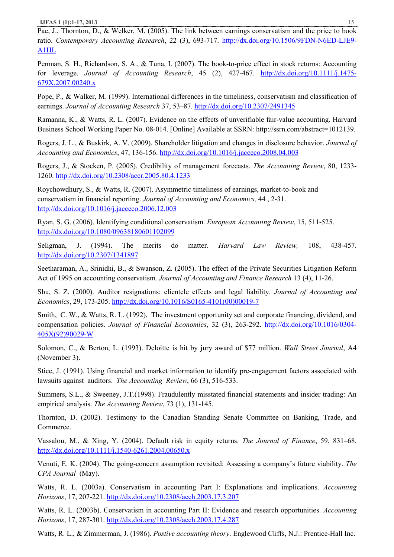Pae, J., Thornton, D., & Welker, M. (2005). The link between earnings conservatism and the price to book ratio. *Contemporary Accounting Research*, 22 (3), 693-717. http://dx.doi.org/10.1506/9FDN-N6ED-LJE9- A1HL

Penman, S. H., Richardson, S. A., & Tuna, I. (2007). The book-to-price effect in stock returns: Accounting for leverage. *Journal of Accounting Research*, 45 (2), 427-467. http://dx.doi.org/10.1111/j.1475- 679X.2007.00240.x

Pope, P., & Walker, M. (1999). International differences in the timeliness, conservatism and classification of earnings. *Journal of Accounting Research* 37, 53–87. http://dx.doi.org/10.2307/2491345

Ramanna, K., & Watts, R. L. (2007). Evidence on the effects of unverifiable fair-value accounting. Harvard Business School Working Paper No. 08-014. [Online] Available at SSRN: http://ssrn.com/abstract=1012139.

Rogers, J. L., & Buskirk, A. V. (2009). Shareholder litigation and changes in disclosure behavior. *Journal of Accounting and Economics*, 47, 136-156. http://dx.doi.org/10.1016/j.jacceco.2008.04.003

Rogers, J., & Stocken, P. (2005). Credibility of management forecasts. *The Accounting Review*, 80, 1233- 1260. http://dx.doi.org/10.2308/accr.2005.80.4.1233

Roychowdhury, S., & Watts, R. (2007). Asymmetric timeliness of earnings, market-to-book and conservatism in financial reporting. *Journal of Accounting and Economics,* 44 , 2-31. http://dx.doi.org/10.1016/j.jacceco.2006.12.003

Ryan, S. G. (2006). Identifying conditional conservatism. *European Accounting Review*, 15, 511-525. http://dx.doi.org/10.1080/09638180601102099

Seligman, J. (1994). The merits do matter. *Harvard Law Review,* 108, 438-457. http://dx.doi.org/10.2307/1341897

Seetharaman, A., Srinidhi, B., & Swanson, Z. (2005). The effect of the Private Securities Litigation Reform Act of 1995 on accounting conservatism. *Journal of Accounting and Finance Research* 13 (4), 11-26.

Shu, S. Z. (2000). Auditor resignations: clientele effects and legal liability. *Journal of Accounting and Economics*, 29, 173-205. http://dx.doi.org/10.1016/S0165-4101(00)00019-7

Smith, C. W., & Watts, R. L. (1992), The investment opportunity set and corporate financing, dividend, and compensation policies. *Journal of Financial Economics*, 32 (3), 263-292. http://dx.doi.org/10.1016/0304- 405X(92)90029-W

Solomon, C., & Berton, L. (1993). Deloitte is hit by jury award of \$77 million. *Wall Street Journal*, A4 (November 3).

Stice, J. (1991). Using financial and market information to identify pre-engagement factors associated with lawsuits against auditors. *The Accounting Review*, 66 (3), 516-533.

Summers, S.L., & Sweeney, J.T.(1998). Fraudulently misstated financial statements and insider trading: An empirical analysis. *The Accounting Review*, 73 (1), 131-145.

Thornton, D. (2002). Testimony to the Canadian Standing Senate Committee on Banking, Trade, and Commerce.

Vassalou, M., & Xing, Y. (2004). Default risk in equity returns. *The Journal of Finance*, 59, 831–68. http://dx.doi.org/10.1111/j.1540-6261.2004.00650.x

Venuti, E. K. (2004). The going-concern assumption revisited: Assessing a company's future viability. *The CPA Journal* (May).

Watts, R. L. (2003a). Conservatism in accounting Part I: Explanations and implications. *Accounting Horizons*, 17, 207-221. http://dx.doi.org/10.2308/acch.2003.17.3.207

Watts, R. L. (2003b). Conservatism in accounting Part II: Evidence and research opportunities. *Accounting Horizons*, 17, 287-301. http://dx.doi.org/10.2308/acch.2003.17.4.287

Watts, R. L., & Zimmerman, J. (1986). *Postive accounting theory*. Englewood Cliffs, N.J.: Prentice-Hall Inc.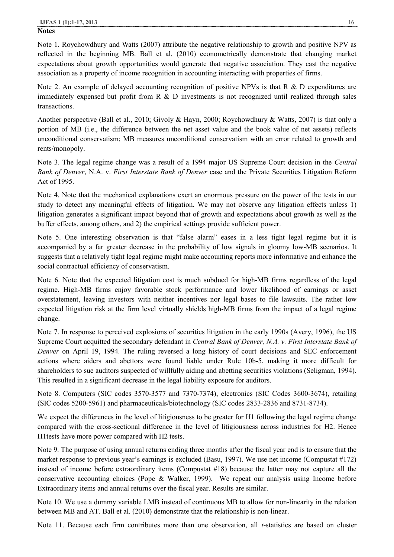#### **Notes**

Note 1. Roychowdhury and Watts (2007) attribute the negative relationship to growth and positive NPV as reflected in the beginning MB. Ball et al. (2010) econometrically demonstrate that changing market expectations about growth opportunities would generate that negative association. They cast the negative association as a property of income recognition in accounting interacting with properties of firms.

Note 2. An example of delayed accounting recognition of positive NPVs is that R & D expenditures are immediately expensed but profit from R & D investments is not recognized until realized through sales transactions.

Another perspective (Ball et al., 2010; Givoly & Hayn, 2000; Roychowdhury & Watts, 2007) is that only a portion of MB (i.e., the difference between the net asset value and the book value of net assets) reflects unconditional conservatism; MB measures unconditional conservatism with an error related to growth and rents/monopoly.

Note 3. The legal regime change was a result of a 1994 major US Supreme Court decision in the *Central Bank of Denver*, N.A. v. *First Interstate Bank of Denver* case and the Private Securities Litigation Reform Act of 1995.

Note 4. Note that the mechanical explanations exert an enormous pressure on the power of the tests in our study to detect any meaningful effects of litigation. We may not observe any litigation effects unless 1) litigation generates a significant impact beyond that of growth and expectations about growth as well as the buffer effects, among others, and 2) the empirical settings provide sufficient power.

Note 5. One interesting observation is that "false alarm" eases in a less tight legal regime but it is accompanied by a far greater decrease in the probability of low signals in gloomy low-MB scenarios. It suggests that a relatively tight legal regime might make accounting reports more informative and enhance the social contractual efficiency of conservatism.

Note 6. Note that the expected litigation cost is much subdued for high-MB firms regardless of the legal regime. High-MB firms enjoy favorable stock performance and lower likelihood of earnings or asset overstatement, leaving investors with neither incentives nor legal bases to file lawsuits. The rather low expected litigation risk at the firm level virtually shields high-MB firms from the impact of a legal regime change.

Note 7. In response to perceived explosions of securities litigation in the early 1990s (Avery, 1996), the US Supreme Court acquitted the secondary defendant in *Central Bank of Denver, N.A. v. First Interstate Bank of Denver* on April 19, 1994. The ruling reversed a long history of court decisions and SEC enforcement actions where aiders and abettors were found liable under Rule 10b-5, making it more difficult for shareholders to sue auditors suspected of willfully aiding and abetting securities violations (Seligman, 1994). This resulted in a significant decrease in the legal liability exposure for auditors.

Note 8. Computers (SIC codes 3570-3577 and 7370-7374), electronics (SIC Codes 3600-3674), retailing (SIC codes 5200-5961) and pharmaceuticals/biotechnology (SIC codes 2833-2836 and 8731-8734).

We expect the differences in the level of litigiousness to be greater for H1 following the legal regime change compared with the cross-sectional difference in the level of litigiousness across industries for H2. Hence H1tests have more power compared with H2 tests.

Note 9. The purpose of using annual returns ending three months after the fiscal year end is to ensure that the market response to previous year's earnings is excluded (Basu, 1997). We use net income (Compustat #172) instead of income before extraordinary items (Compustat #18) because the latter may not capture all the conservative accounting choices (Pope & Walker, 1999). We repeat our analysis using Income before Extraordinary items and annual returns over the fiscal year. Results are similar.

Note 10. We use a dummy variable LMB instead of continuous MB to allow for non-linearity in the relation between MB and AT. Ball et al. (2010) demonstrate that the relationship is non-linear.

Note 11. Because each firm contributes more than one observation, all *t*-statistics are based on cluster